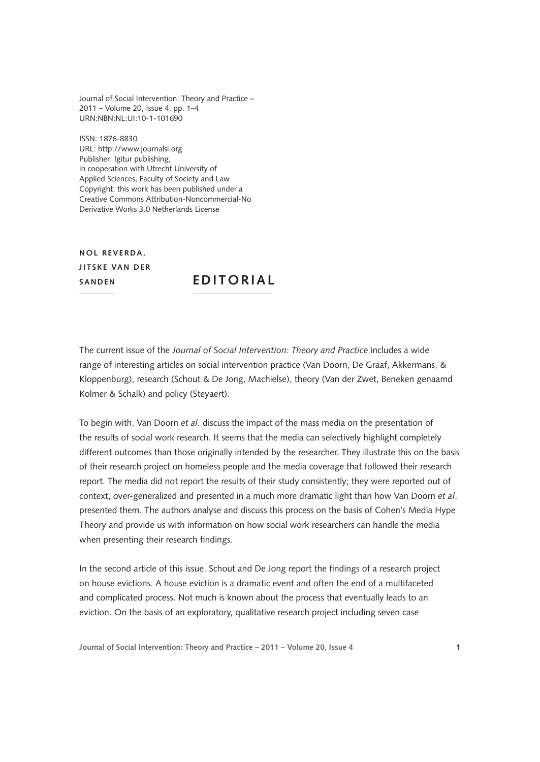Journal of Social Intervention: Theory and Practice – 2011 – Volume 20, Issue 4, pp. 1–4 URN:NBN:NL:UI:10-1-101690

ISSN: 1876-8830 URL: <http://www.journalsi.org> Publisher: Igitur publishing, in cooperation with Utrecht University of Applied Sciences, Faculty of Society and Law Copyright: this work has been published under a Creative Commons Attribution-Noncommercial-No Derivative Works 3.0 Netherlands License

**NOL REVERDA. Jitske van der**

**EDITORIAL** 

The current issue of the *Journal of Social Intervention: Theory and Practice* includes a wide range of interesting articles on social intervention practice (Van Doorn, De Graaf, Akkermans, & Kloppenburg), research (Schout & De Jong, Machielse), theory (Van der Zwet, Beneken genaamd Kolmer & Schalk) and policy (Steyaert).

To begin with, Van Doorn *et al.* discuss the impact of the mass media on the presentation of the results of social work research. It seems that the media can selectively highlight completely different outcomes than those originally intended by the researcher. They illustrate this on the basis of their research project on homeless people and the media coverage that followed their research report. The media did not report the results of their study consistently; they were reported out of context, over-generalized and presented in a much more dramatic light than how Van Doorn *et al*. presented them. The authors analyse and discuss this process on the basis of Cohen's Media Hype Theory and provide us with information on how social work researchers can handle the media when presenting their research findings.

In the second article of this issue, Schout and De Jong report the findings of a research project on house evictions. A house eviction is a dramatic event and often the end of a multifaceted and complicated process. Not much is known about the process that eventually leads to an eviction. On the basis of an exploratory, qualitative research project including seven case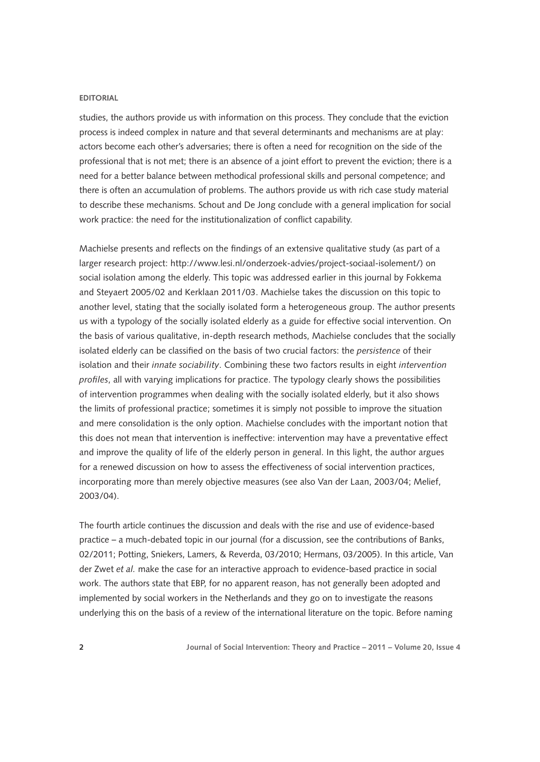## **EEdititori rial**

studies, the authors provide us with information on this process. They conclude that the eviction process is indeed complex in nature and that several determinants and mechanisms are at play: actors become each other's adversaries; there is often a need for recognition on the side of the professional that is not met; there is an absence of a joint effort to prevent the eviction; there is a need for a better balance between methodical professional skills and personal competence; and there is often an accumulation of problems. The authors provide us with rich case study material to describe these mechanisms. Schout and De Jong conclude with a general implication for social work practice: the need for the institutionalization of conflict capability.

Machielse presents and reflects on the findings of an extensive qualitative study (as part of a larger research project:<http://www.lesi.nl/onderzoek-advies/project-sociaal-isolement/>) on social isolation among the elderly. This topic was addressed earlier in this journal by Fokkema and Steyaert 2005/02 and Kerklaan 2011/03. Machielse takes the discussion on this topic to another level, stating that the socially isolated form a heterogeneous group. The author presents us with a typology of the socially isolated elderly as a guide for effective social intervention. On the basis of various qualitative, in-depth research methods, Machielse concludes that the socially isolated elderly can be classified on the basis of two crucial factors: the *persistence* of their isolation and their *innate sociability*. Combining these two factors results in eight *intervention profiles*, all with varying implications for practice. The typology clearly shows the possibilities of intervention programmes when dealing with the socially isolated elderly, but it also shows the limits of professional practice; sometimes it is simply not possible to improve the situation and mere consolidation is the only option. Machielse concludes with the important notion that this does not mean that intervention is ineffective: intervention may have a preventative effect and improve the quality of life of the elderly person in general. In this light, the author argues for a renewed discussion on how to assess the effectiveness of social intervention practices, incorporating more than merely objective measures (see also Van der Laan, 2003/04; Melief, 2003/04).

The fourth article continues the discussion and deals with the rise and use of evidence-based practice – a much-debated topic in our journal (for a discussion, see the contributions of Banks, 02/2011; Potting, Sniekers, Lamers, & Reverda, 03/2010; Hermans, 03/2005). In this article, Van der Zwet *et al.* make the case for an interactive approach to evidence-based practice in social work. The authors state that EBP, for no apparent reason, has not generally been adopted and implemented by social workers in the Netherlands and they go on to investigate the reasons underlying this on the basis of a review of the international literature on the topic. Before naming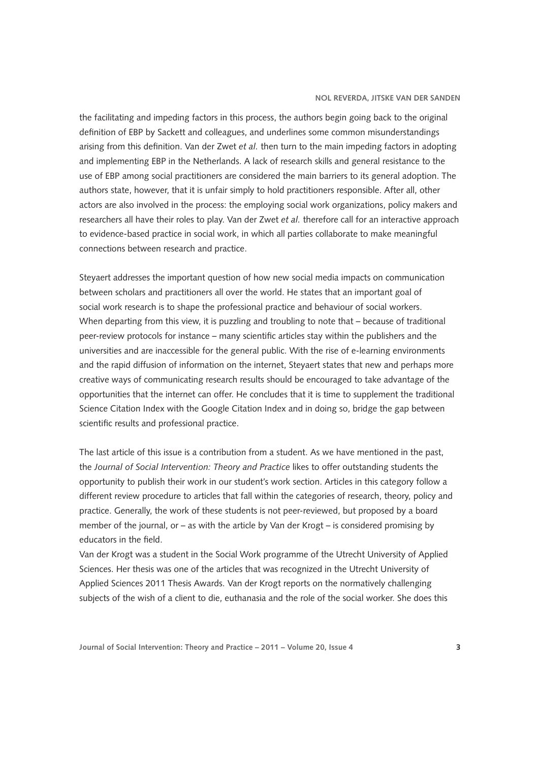## **Nol Reverda, Jitske van der Sanden**

the facilitating and impeding factors in this process, the authors begin going back to the original definition of EBP by Sackett and colleagues, and underlines some common misunderstandings arising from this definition. Van der Zwet *et al.* then turn to the main impeding factors in adopting and implementing EBP in the Netherlands. A lack of research skills and general resistance to the use of EBP among social practitioners are considered the main barriers to its general adoption. The authors state, however, that it is unfair simply to hold practitioners responsible. After all, other actors are also involved in the process: the employing social work organizations, policy makers and researchers all have their roles to play. Van der Zwet *et al.* therefore call for an interactive approach to evidence-based practice in social work, in which all parties collaborate to make meaningful connections between research and practice.

Steyaert addresses the important question of how new social media impacts on communication between scholars and practitioners all over the world. He states that an important goal of social work research is to shape the professional practice and behaviour of social workers. When departing from this view, it is puzzling and troubling to note that – because of traditional peer-review protocols for instance – many scientific articles stay within the publishers and the universities and are inaccessible for the general public. With the rise of e-learning environments and the rapid diffusion of information on the internet, Steyaert states that new and perhaps more creative ways of communicating research results should be encouraged to take advantage of the opportunities that the internet can offer. He concludes that it is time to supplement the traditional Science Citation Index with the Google Citation Index and in doing so, bridge the gap between scientific results and professional practice.

The last article of this issue is a contribution from a student. As we have mentioned in the past, the *Journal of Social Intervention: Theory and Practice* likes to offer outstanding students the opportunity to publish their work in our student's work section. Articles in this category follow a different review procedure to articles that fall within the categories of research, theory, policy and practice. Generally, the work of these students is not peer-reviewed, but proposed by a board member of the journal, or – as with the article by Van der Krogt – is considered promising by educators in the field.

Van der Krogt was a student in the Social Work programme of the Utrecht University of Applied Sciences. Her thesis was one of the articles that was recognized in the Utrecht University of Applied Sciences 2011 Thesis Awards. Van der Krogt reports on the normatively challenging subjects of the wish of a client to die, euthanasia and the role of the social worker. She does this